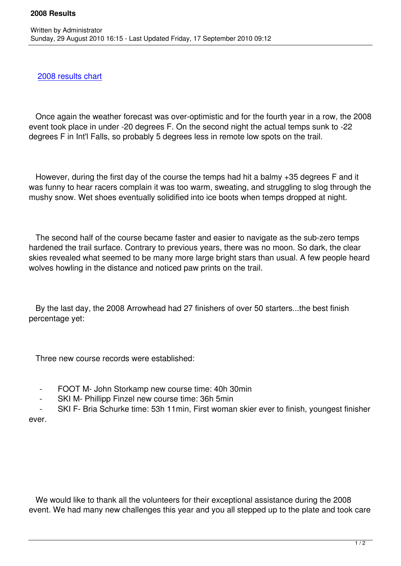## 2008 results chart

Written by Administrator and Administrator and Administrator and Administrator and Administrator and Administrator and Administrator and Administrator and Administrator and Administrator and Administrator and Administrator

 [Once again the we](/images/stories/results/2008arrowheadresults.xls)ather forecast was over-optimistic and for the fourth year in a row, the 2008 event took place in under -20 degrees F. On the second night the actual temps sunk to -22 degrees F in Int'l Falls, so probably 5 degrees less in remote low spots on the trail.

 However, during the first day of the course the temps had hit a balmy +35 degrees F and it was funny to hear racers complain it was too warm, sweating, and struggling to slog through the mushy snow. Wet shoes eventually solidified into ice boots when temps dropped at night.

 The second half of the course became faster and easier to navigate as the sub-zero temps hardened the trail surface. Contrary to previous years, there was no moon. So dark, the clear skies revealed what seemed to be many more large bright stars than usual. A few people heard wolves howling in the distance and noticed paw prints on the trail.

 By the last day, the 2008 Arrowhead had 27 finishers of over 50 starters...the best finish percentage yet:

Three new course records were established:

- FOOT M- John Storkamp new course time: 40h 30min
- SKI M- Phillipp Finzel new course time: 36h 5min
- SKI F- Bria Schurke time: 53h 11min, First woman skier ever to finish, youngest finisher ever.

 We would like to thank all the volunteers for their exceptional assistance during the 2008 event. We had many new challenges this year and you all stepped up to the plate and took care